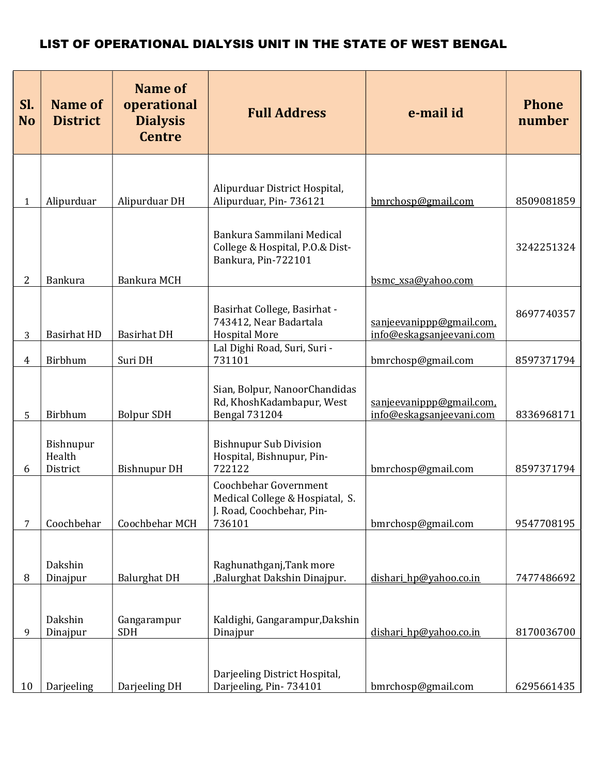| Sl.<br><b>No</b> | <b>Name of</b><br><b>District</b> | <b>Name of</b><br>operational<br><b>Dialysis</b><br><b>Centre</b> | <b>Full Address</b>                                                                                                 | e-mail id                                            | <b>Phone</b><br>number |
|------------------|-----------------------------------|-------------------------------------------------------------------|---------------------------------------------------------------------------------------------------------------------|------------------------------------------------------|------------------------|
| $\mathbf{1}$     | Alipurduar                        | Alipurduar DH                                                     | Alipurduar District Hospital,<br>Alipurduar, Pin-736121                                                             | bmrchosp@gmail.com                                   | 8509081859             |
| $\overline{2}$   | <b>Bankura</b>                    | Bankura MCH                                                       | Bankura Sammilani Medical<br>College & Hospital, P.O.& Dist-<br>Bankura, Pin-722101                                 | bsmc_xsa@yahoo.com                                   | 3242251324             |
| 3                | <b>Basirhat HD</b>                | <b>Basirhat DH</b>                                                | Basirhat College, Basirhat -<br>743412, Near Badartala<br><b>Hospital More</b>                                      | sanjeevanippp@gmail.com,<br>info@eskagsanjeevani.com | 8697740357             |
| $\overline{4}$   | Birbhum                           | Suri DH                                                           | Lal Dighi Road, Suri, Suri -<br>731101                                                                              | bmrchosp@gmail.com                                   | 8597371794             |
| 5                | Birbhum<br>Bishnupur              | <b>Bolpur SDH</b>                                                 | Sian, Bolpur, NanoorChandidas<br>Rd, KhoshKadambapur, West<br><b>Bengal 731204</b><br><b>Bishnupur Sub Division</b> | sanjeevanippp@gmail.com,<br>info@eskagsanjeevani.com | 8336968171             |
| 6                | Health<br>District                | <b>Bishnupur DH</b>                                               | Hospital, Bishnupur, Pin-<br>722122                                                                                 | bmrchosp@gmail.com                                   | 8597371794             |
| 7                | Coochbehar                        | Coochbehar MCH                                                    | Coochbehar Government<br>Medical College & Hospiatal, S.<br>J. Road, Coochbehar, Pin-<br>736101                     | bmrchosp@gmail.com                                   | 9547708195             |
| 8                | Dakshin<br>Dinajpur               | <b>Balurghat DH</b>                                               | Raghunathganj, Tank more<br>,Balurghat Dakshin Dinajpur.                                                            | dishari hp@yahoo.co.in                               | 7477486692             |
| 9                | Dakshin<br>Dinajpur               | Gangarampur<br><b>SDH</b>                                         | Kaldighi, Gangarampur, Dakshin<br>Dinajpur                                                                          | dishari hp@yahoo.co.in                               | 8170036700             |
| 10               | Darjeeling                        | Darjeeling DH                                                     | Darjeeling District Hospital,<br>Darjeeling, Pin-734101                                                             | bmrchosp@gmail.com                                   | 6295661435             |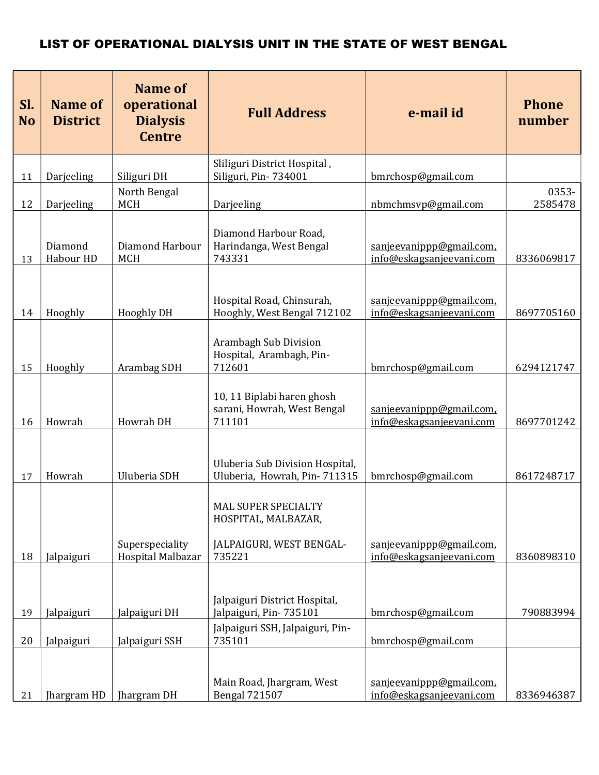| Sl.<br><b>No</b> | <b>Name of</b><br><b>District</b> | <b>Name of</b><br>operational<br><b>Dialysis</b><br><b>Centre</b> | <b>Full Address</b>                                                              | e-mail id                                            | <b>Phone</b><br>number |
|------------------|-----------------------------------|-------------------------------------------------------------------|----------------------------------------------------------------------------------|------------------------------------------------------|------------------------|
| 11               | Darjeeling                        | Siliguri DH                                                       | Sliliguri District Hospital,<br>Siliguri, Pin-734001                             | bmrchosp@gmail.com                                   |                        |
|                  |                                   | North Bengal                                                      |                                                                                  |                                                      | 0353-                  |
| 12               | Darjeeling                        | <b>MCH</b>                                                        | Darjeeling                                                                       | nbmchmsvp@gmail.com                                  | 2585478                |
| 13               | Diamond<br>Habour HD              | Diamond Harbour<br><b>MCH</b>                                     | Diamond Harbour Road,<br>Harindanga, West Bengal<br>743331                       | sanjeevanippp@gmail.com.<br>info@eskagsanjeevani.com | 8336069817             |
| 14               | Hooghly                           | <b>Hooghly DH</b>                                                 | Hospital Road, Chinsurah,<br>Hooghly, West Bengal 712102                         | sanjeevanippp@gmail.com,<br>info@eskagsanjeevani.com | 8697705160             |
| 15               | Hooghly                           | Arambag SDH                                                       | Arambagh Sub Division<br>Hospital, Arambagh, Pin-<br>712601                      | bmrchosp@gmail.com                                   | 6294121747             |
| 16               | Howrah                            | Howrah DH                                                         | 10, 11 Biplabi haren ghosh<br>sarani, Howrah, West Bengal<br>711101              | sanjeevanippp@gmail.com,<br>info@eskagsanjeevani.com | 8697701242             |
| 17               | Howrah                            | Uluberia SDH                                                      | Uluberia Sub Division Hospital,<br>Uluberia, Howrah, Pin-711315                  | bmrchosp@gmail.com                                   | 8617248717             |
| 18               | Jalpaiguri                        | Superspeciality<br>Hospital Malbazar                              | MAL SUPER SPECIALTY<br>HOSPITAL, MALBAZAR,<br>JALPAIGURI, WEST BENGAL-<br>735221 | sanjeevanippp@gmail.com,<br>info@eskagsanjeevani.com | 8360898310             |
| 19               | Jalpaiguri                        | Jalpaiguri DH                                                     | Jalpaiguri District Hospital,<br>Jalpaiguri, Pin-735101                          | bmrchosp@gmail.com                                   | 790883994              |
|                  |                                   |                                                                   | Jalpaiguri SSH, Jalpaiguri, Pin-                                                 |                                                      |                        |
| 20               | Jalpaiguri                        | Jalpaiguri SSH                                                    | 735101                                                                           | bmrchosp@gmail.com                                   |                        |
| 21               | Jhargram HD                       | Jhargram DH                                                       | Main Road, Jhargram, West<br><b>Bengal 721507</b>                                | sanjeevanippp@gmail.com,<br>info@eskagsanjeevani.com | 8336946387             |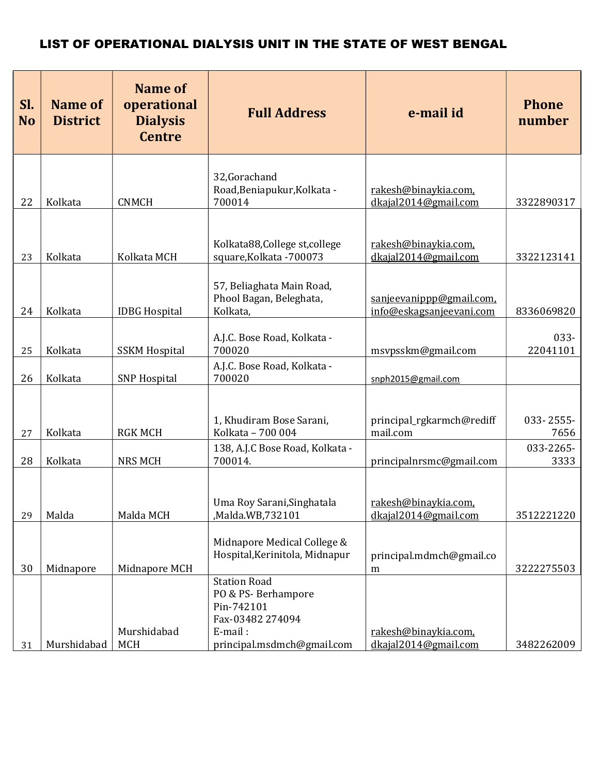| SI.<br><b>No</b> | <b>Name of</b><br><b>District</b> | <b>Name of</b><br>operational<br><b>Dialysis</b><br><b>Centre</b> | <b>Full Address</b>                                                                                                  | e-mail id                                            | <b>Phone</b><br>number |
|------------------|-----------------------------------|-------------------------------------------------------------------|----------------------------------------------------------------------------------------------------------------------|------------------------------------------------------|------------------------|
| 22               | Kolkata                           | <b>CNMCH</b>                                                      | 32, Gorachand<br>Road, Beniapukur, Kolkata -<br>700014                                                               | rakesh@binaykia.com,<br>dkajal2014@gmail.com         | 3322890317             |
| 23               | Kolkata                           | Kolkata MCH                                                       | Kolkata88, College st, college<br>square, Kolkata - 700073                                                           | rakesh@binaykia.com,<br>dkajal2014@gmail.com         | 3322123141             |
| 24               | Kolkata                           | <b>IDBG Hospital</b>                                              | 57, Beliaghata Main Road,<br>Phool Bagan, Beleghata,<br>Kolkata,                                                     | sanjeevanippp@gmail.com,<br>info@eskagsanjeevani.com | 8336069820             |
| 25               | Kolkata                           | <b>SSKM Hospital</b>                                              | A.J.C. Bose Road, Kolkata -<br>700020                                                                                | msvpsskm@gmail.com                                   | 033-<br>22041101       |
| 26               | Kolkata                           | <b>SNP Hospital</b>                                               | A.J.C. Bose Road, Kolkata -<br>700020                                                                                | snph2015@gmail.com                                   |                        |
| 27               | Kolkata                           | <b>RGK MCH</b>                                                    | 1, Khudiram Bose Sarani,<br>Kolkata - 700 004                                                                        | principal_rgkarmch@rediff<br>mail.com                | 033-2555-<br>7656      |
| 28               | Kolkata                           | <b>NRS MCH</b>                                                    | 138, A.J.C Bose Road, Kolkata -<br>700014.                                                                           | principalnrsmc@gmail.com                             | 033-2265-<br>3333      |
| 29               | Malda                             | Malda MCH                                                         | Uma Roy Sarani, Singhatala<br>Malda.WB,732101,                                                                       | rakesh@binaykia.com,<br>dkajal2014@gmail.com         | 3512221220             |
| 30               | Midnapore                         | Midnapore MCH                                                     | Midnapore Medical College &<br>Hospital, Kerinitola, Midnapur                                                        | principal.mdmch@gmail.co<br>m                        | 3222275503             |
| 31               | Murshidabad                       | Murshidabad<br>MCH                                                | <b>Station Road</b><br>PO & PS-Berhampore<br>Pin-742101<br>Fax-03482 274094<br>E-mail:<br>principal.msdmch@gmail.com | rakesh@binaykia.com,<br>dkajal2014@gmail.com         | 3482262009             |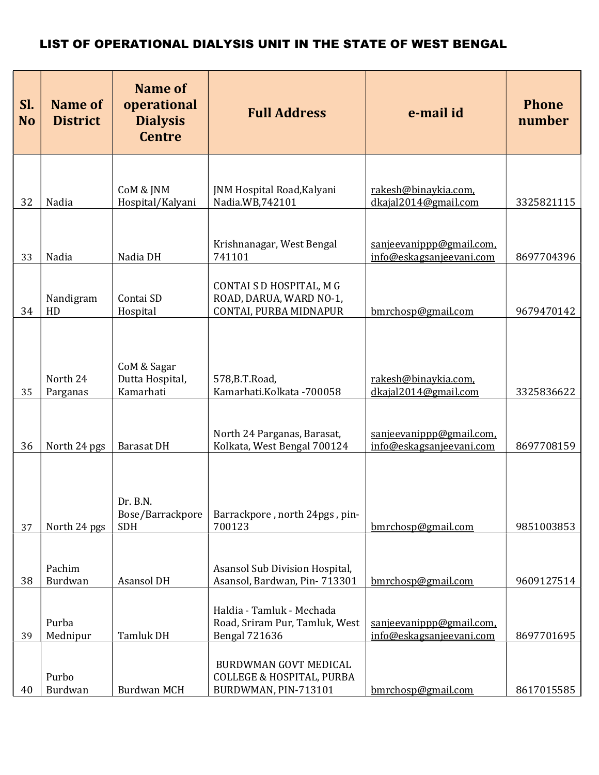| Sl.<br><b>No</b> | <b>Name of</b><br><b>District</b> | <b>Name of</b><br>operational<br><b>Dialysis</b><br><b>Centre</b> | <b>Full Address</b>                                           | e-mail id                                            | <b>Phone</b><br>number |
|------------------|-----------------------------------|-------------------------------------------------------------------|---------------------------------------------------------------|------------------------------------------------------|------------------------|
|                  |                                   |                                                                   |                                                               |                                                      |                        |
| 32               | Nadia                             | CoM & JNM<br>Hospital/Kalyani                                     | JNM Hospital Road, Kalyani<br>Nadia.WB,742101                 | rakesh@binaykia.com,<br>dkajal2014@gmail.com         | 3325821115             |
|                  |                                   |                                                                   |                                                               |                                                      |                        |
| 33               | Nadia                             | Nadia DH                                                          | Krishnanagar, West Bengal<br>741101                           | sanjeevanippp@gmail.com,<br>info@eskagsanjeevani.com | 8697704396             |
|                  |                                   |                                                                   | CONTAI S D HOSPITAL, M G                                      |                                                      |                        |
| 34               | Nandigram<br>HD                   | Contai SD<br>Hospital                                             | ROAD, DARUA, WARD NO-1,<br>CONTAI, PURBA MIDNAPUR             | bmrchosp@gmail.com                                   | 9679470142             |
|                  |                                   |                                                                   |                                                               |                                                      |                        |
|                  |                                   |                                                                   |                                                               |                                                      |                        |
|                  | North 24                          | CoM & Sagar<br>Dutta Hospital,                                    | 578, B.T. Road,                                               | rakesh@binaykia.com,                                 |                        |
| 35               | Parganas                          | Kamarhati                                                         | Kamarhati.Kolkata -700058                                     | dkajal2014@gmail.com                                 | 3325836622             |
|                  |                                   |                                                                   | North 24 Parganas, Barasat,                                   | sanjeevanippp@gmail.com,                             |                        |
| 36               | North 24 pgs                      | <b>Barasat DH</b>                                                 | Kolkata, West Bengal 700124                                   | info@eskagsanjeevani.com                             | 8697708159             |
|                  |                                   |                                                                   |                                                               |                                                      |                        |
|                  |                                   | Dr. B.N.                                                          |                                                               |                                                      |                        |
| 37               | North 24 pgs                      | Bose/Barrackpore<br><b>SDH</b>                                    | Barrackpore, north 24pgs, pin-<br>700123                      | bmrchosp@gmail.com                                   | 9851003853             |
|                  |                                   |                                                                   |                                                               |                                                      |                        |
|                  | Pachim                            |                                                                   | Asansol Sub Division Hospital,                                |                                                      |                        |
| 38               | Burdwan                           | Asansol DH                                                        | Asansol, Bardwan, Pin-713301                                  | bmrchosp@gmail.com                                   | 9609127514             |
|                  |                                   |                                                                   | Haldia - Tamluk - Mechada                                     |                                                      |                        |
| 39               | Purba<br>Mednipur                 | Tamluk DH                                                         | Road, Sriram Pur, Tamluk, West<br><b>Bengal 721636</b>        | sanjeevanippp@gmail.com,<br>info@eskagsanjeevani.com | 8697701695             |
|                  |                                   |                                                                   |                                                               |                                                      |                        |
|                  | Purbo                             |                                                                   | BURDWMAN GOVT MEDICAL<br><b>COLLEGE &amp; HOSPITAL, PURBA</b> |                                                      |                        |
| 40               | Burdwan                           | <b>Burdwan MCH</b>                                                | BURDWMAN, PIN-713101                                          | bmrchosp@gmail.com                                   | 8617015585             |